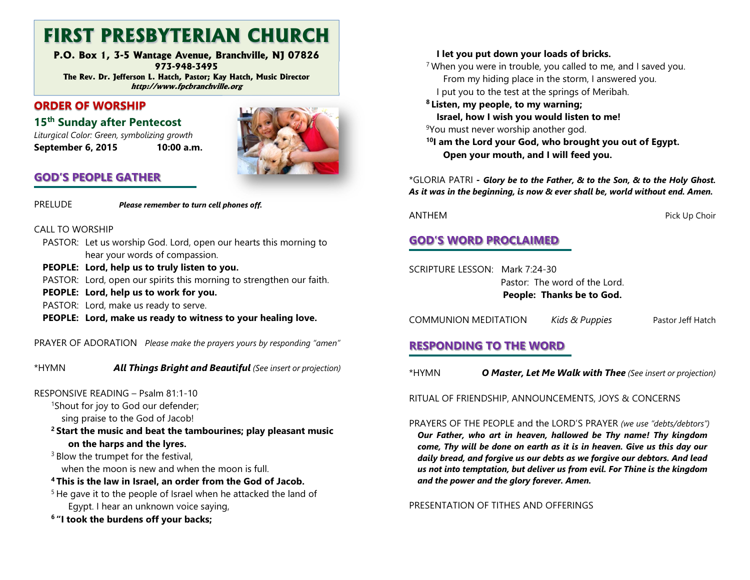## FIRST PRESBYTERIAN CHURCH

 P.O. Box 1, 3-5 Wantage Avenue, Branchville, NJ 07826 973-948-3495 The Rev. Dr. Jefferson L. Hatch, Pastor; Kay Hatch, Music Director http://www.fpcbranchville.org

### ORDER OF WORSHIP

15<sup>th</sup> Sunday after Pentecost

 Liturgical Color: Green, symbolizing growth September 6, 2015 10:00 a.m.



## GOD'S PEOPLE GATHER

PRELUDE Please remember to turn cell phones off.

- CALL TO WORSHIP
	- PASTOR: Let us worship God. Lord, open our hearts this morning to hear your words of compassion.
	- PEOPLE: Lord, help us to truly listen to you.
	- PASTOR: Lord, open our spirits this morning to strengthen our faith.
	- PEOPLE: Lord, help us to work for you.
	- PASTOR: Lord, make us ready to serve.
	- PEOPLE: Lord, make us ready to witness to your healing love.

PRAYER OF ADORATION Please make the prayers yours by responding "amen"

\*HYMN **All Things Bright and Beautiful** (See insert or projection)

#### RESPONSIVE READING – Psalm 81:1-10

<sup>1</sup>Shout for joy to God our defender;

sing praise to the God of Jacob!

<sup>2</sup> Start the music and beat the tambourines; play pleasant music on the harps and the lyres.

<sup>3</sup> Blow the trumpet for the festival, when the moon is new and when the moon is full.

- 4 This is the law in Israel, an order from the God of Jacob.
- $5$  He gave it to the people of Israel when he attacked the land of Egypt. I hear an unknown voice saying,
- <sup>6</sup> "I took the burdens off your backs;

#### I let you put down your loads of bricks.

 $7$  When you were in trouble, you called to me, and I saved you. From my hiding place in the storm, I answered you. I put you to the test at the springs of Meribah.

8 Listen, my people, to my warning; Israel, how I wish you would listen to me!

9You must never worship another god.

<sup>10</sup>I am the Lord your God, who brought you out of Egypt. Open your mouth, and I will feed you.

\*GLORIA PATRI - Glory be to the Father, & to the Son, & to the Holy Ghost. As it was in the beginning, is now & ever shall be, world without end. Amen.

ANTHEM Pick Up Choir

## GOD'S WORD PROCLAIMED

SCRIPTURE LESSON: Mark 7:24-30 Pastor: The word of the Lord. People: Thanks be to God.

COMMUNION MEDITATION Kids & Puppies Pastor Jeff Hatch

## RESPONDING TO THE WORD

\*HYMN **O Master, Let Me Walk with Thee** (See insert or projection)

RITUAL OF FRIENDSHIP, ANNOUNCEMENTS, JOYS & CONCERNS

PRAYERS OF THE PEOPLE and the LORD'S PRAYER (we use "debts/debtors") Our Father, who art in heaven, hallowed be Thy name! Thy kingdom come, Thy will be done on earth as it is in heaven. Give us this day our daily bread, and forgive us our debts as we forgive our debtors. And lead us not into temptation, but deliver us from evil. For Thine is the kingdom and the power and the glory forever. Amen.

#### PRESENTATION OF TITHES AND OFFERINGS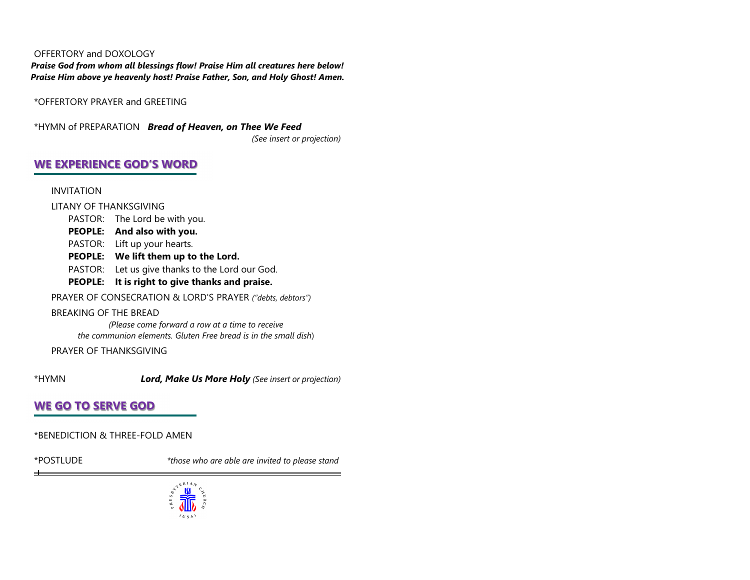#### OFFERTORY and DOXOLOGY

 Praise God from whom all blessings flow! Praise Him all creatures here below! Praise Him above ye heavenly host! Praise Father, Son, and Holy Ghost! Amen.

\*OFFERTORY PRAYER and GREETING

\*HYMN of PREPARATION Bread of Heaven, on Thee We Feed (See insert or projection)

#### WE EXPERIENCE GOD'S WORD

INVITATION

LITANY OF THANKSGIVING

- PASTOR: The Lord be with you.
- PEOPLE: And also with you.
- PASTOR: Lift up your hearts.
- PEOPLE: We lift them up to the Lord.
- PASTOR: Let us give thanks to the Lord our God.
- PEOPLE: It is right to give thanks and praise.

PRAYER OF CONSECRATION & LORD'S PRAYER ("debts, debtors")

#### BREAKING OF THE BREAD

 (Please come forward a row at a time to receive the communion elements. Gluten Free bread is in the small dish)

PRAYER OF THANKSGIVING

\*HYMN **Lord, Make Us More Holy** (See insert or projection)

## WE GO TO SERVE GOD

\*BENEDICTION & THREE-FOLD AMEN

\*POSTLUDE

 $\pm$ 

\*those who are able are invited to please stand

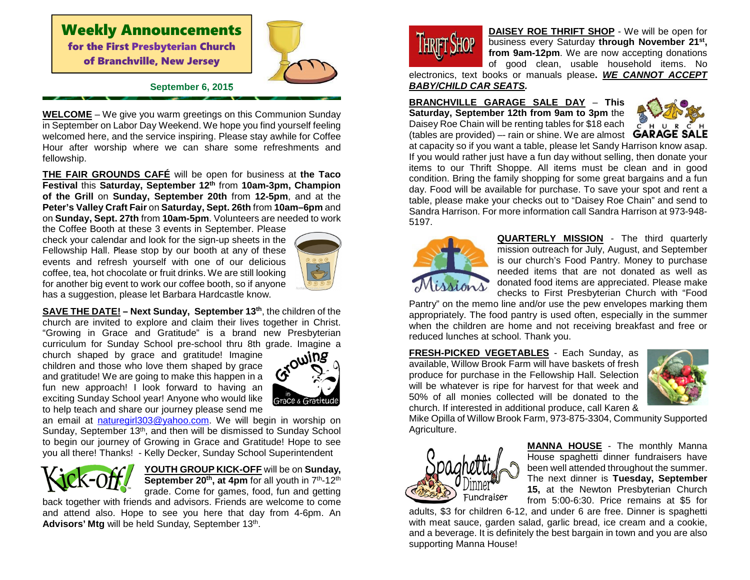## Weekly Announcements for the First Presbyterian Church of Branchville, New Jersey



#### **September 6, 2015**

**WELCOME** – We give you warm greetings on this Communion Sunday in September on Labor Day Weekend. We hope you find yourself feeling welcomed here, and the service inspiring. Please stay awhile for Coffee Hour after worship where we can share some refreshments and fellowship.

**THE FAIR GROUNDS CAFÉ** will be open for business at **the Taco Festival** this **Saturday, September 12th** from **10am-3pm, Champion of the Grill** on **Sunday, September 20th** from **12-5pm**, and at the **Peter's Valley Craft Fair** on **Saturday, Sept. 26th** from **10am–6pm** and on **Sunday, Sept. 27th** from **10am-5pm**. Volunteers are needed to work

the Coffee Booth at these 3 events in September. Please check your calendar and look for the sign-up sheets in the Fellowship Hall. Please stop by our booth at any of these events and refresh yourself with one of our delicious coffee, tea, hot chocolate or fruit drinks. We are still looking for another big event to work our coffee booth, so if anyone has a suggestion, please let Barbara Hardcastle know.



**SAVE THE DATE! – Next Sunday, September 13th**, the children of the church are invited to explore and claim their lives together in Christ. "Growing in Grace and Gratitude" is a brand new Presbyterian curriculum for Sunday School pre-school thru 8th grade. Imagine a

church shaped by grace and gratitude! Imagine children and those who love them shaped by grace and gratitude! We are going to make this happen in a fun new approach! I look forward to having an exciting Sunday School year! Anyone who would like to help teach and share our journey please send me



an email at **naturegirl303@yahoo.com**. We will begin in worship on Sunday, September 13<sup>th</sup>, and then will be dismissed to Sunday School to begin our journey of Growing in Grace and Gratitude! Hope to see you all there! Thanks! - Kelly Decker, Sunday School Superintendent



**YOUTH GROUP KICK-OFF** will be on **Sunday, September 20th, at 4pm** for all youth in 7th-12th grade. Come for games, food, fun and getting

 back together with friends and advisors. Friends are welcome to come and attend also. Hope to see you here that day from 4-6pm. An Advisors' Mtg will be held Sunday, September 13<sup>th</sup>.



**DAISEY ROE THRIFT SHOP** - We will be open for business every Saturday **through November 21st, from 9am-12pm**. We are now accepting donations of good clean, usable household items. No

 electronics, text books or manuals please**. WE CANNOT ACCEPT BABY/CHILD CAR SEATS.** 

**BRANCHVILLE GARAGE SALE DAY** – **This Saturday, September 12th from 9am to 3pm** the Daisey Roe Chain will be renting tables for \$18 each (tables are provided) –- rain or shine. We are almost



 at capacity so if you want a table, please let Sandy Harrison know asap. If you would rather just have a fun day without selling, then donate your items to our Thrift Shoppe. All items must be clean and in good condition. Bring the family shopping for some great bargains and a fun day. Food will be available for purchase. To save your spot and rent a table, please make your checks out to "Daisey Roe Chain" and send to Sandra Harrison. For more information call Sandra Harrison at 973-948-5197.



**QUARTERLY MISSION** - The third quarterly mission outreach for July, August, and September is our church's Food Pantry. Money to purchase needed items that are not donated as well as donated food items are appreciated. Please make checks to First Presbyterian Church with "Food

 Pantry" on the memo line and/or use the pew envelopes marking them appropriately. The food pantry is used often, especially in the summer when the children are home and not receiving breakfast and free or reduced lunches at school. Thank you.

**FRESH-PICKED VEGETABLES** - Each Sunday, as available, Willow Brook Farm will have baskets of fresh produce for purchase in the Fellowship Hall. Selection will be whatever is ripe for harvest for that week and 50% of all monies collected will be donated to the church. If interested in additional produce, call Karen &



 Mike Opilla of Willow Brook Farm, 973-875-3304, Community Supported Agriculture.



**MANNA HOUSE** - The monthly Manna House spaghetti dinner fundraisers have been well attended throughout the summer. The next dinner is **Tuesday, September 15,** at the Newton Presbyterian Church from 5:00-6:30. Price remains at \$5 for

 adults, \$3 for children 6-12, and under 6 are free. Dinner is spaghetti with meat sauce, garden salad, garlic bread, ice cream and a cookie, and a beverage. It is definitely the best bargain in town and you are also supporting Manna House!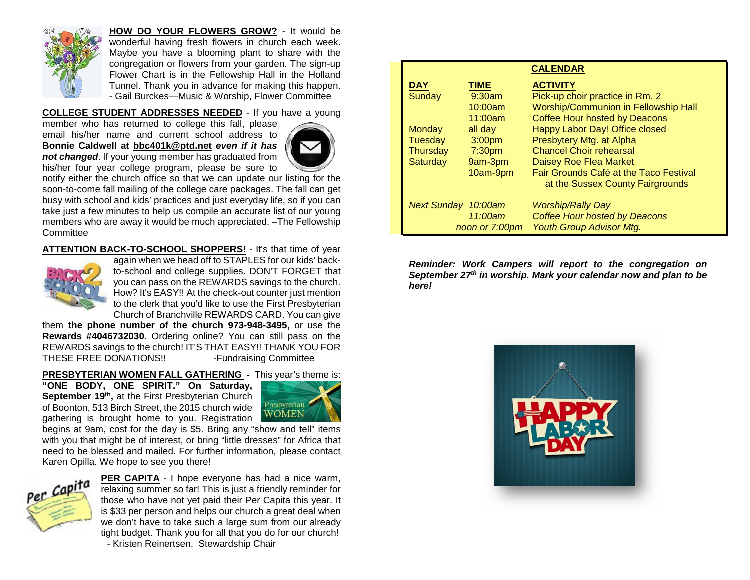

**HOW DO YOUR FLOWERS GROW?** - It would be wonderful having fresh flowers in church each week. Maybe you have a blooming plant to share with the congregation or flowers from your garden. The sign-up Flower Chart is in the Fellowship Hall in the Holland Tunnel. Thank you in advance for making this happen. - Gail Burckes—Music & Worship, Flower Committee

**COLLEGE STUDENT ADDRESSES NEEDED** - If you have a young

member who has returned to college this fall, please email his/her name and current school address to **Bonnie Caldwell at bbc401k@ptd.net even if it has not changed**. If your young member has graduated from his/her four year college program, please be sure to



 notify either the church office so that we can update our listing for the soon-to-come fall mailing of the college care packages. The fall can get busy with school and kids' practices and just everyday life, so if you can take just a few minutes to help us compile an accurate list of our young members who are away it would be much appreciated. –The Fellowship **Committee** 

**ATTENTION BACK-TO-SCHOOL SHOPPERS!** - It's that time of year



 again when we head off to STAPLES for our kids' backto-school and college supplies. DON'T FORGET that you can pass on the REWARDS savings to the church. How? It's EASY!! At the check-out counter just mention to the clerk that you'd like to use the First Presbyterian Church of Branchville REWARDS CARD. You can give

 them **the phone number of the church 973-948-3495,** or use the **Rewards #4046732030**. Ordering online? You can still pass on the REWARDS savings to the church! IT'S THAT EASY!! THANK YOU FOR THESE FREE DONATIONS!! - Fundraising Committee

#### **PRESBYTERIAN WOMEN FALL GATHERING -** This year's theme is:

**"ONE BODY, ONE SPIRIT." On Saturday, September 19th ,** at the First Presbyterian Church of Boonton, 513 Birch Street, the 2015 church wide gathering is brought home to you. Registration



 begins at 9am, cost for the day is \$5. Bring any "show and tell" items with you that might be of interest, or bring "little dresses" for Africa that need to be blessed and mailed. For further information, please contact Karen Opilla. We hope to see you there!



**PER CAPITA** - I hope everyone has had a nice warm, relaxing summer so far! This is just a friendly reminder for those who have not yet paid their Per Capita this year. It is \$33 per person and helps our church a great deal when we don't have to take such a large sum from our already tight budget. Thank you for all that you do for our church! - Kristen Reinertsen, Stewardship Chair

| <b>CALENDAR</b>            |                    |                                        |
|----------------------------|--------------------|----------------------------------------|
| <u>DAY</u>                 | <b>TIME</b>        | <b>ACTIVITY</b>                        |
| Sunday                     | $9:30$ am          | Pick-up choir practice in Rm. 2        |
|                            | 10:00am            | Worship/Communion in Fellowship Hall   |
|                            | 11:00am            | <b>Coffee Hour hosted by Deacons</b>   |
| <b>Monday</b>              | all day            | Happy Labor Day! Office closed         |
| Tuesday                    | 3:00 <sub>pm</sub> | Presbytery Mtg. at Alpha               |
| <b>Thursday</b>            | 7:30 <sub>pm</sub> | <b>Chancel Choir rehearsal</b>         |
| Saturday                   | 9am-3pm            | <b>Daisey Roe Flea Market</b>          |
|                            | 10am-9pm           | Fair Grounds Café at the Taco Festival |
|                            |                    | at the Sussex County Fairgrounds       |
| <b>Next Sunday 10:00am</b> |                    | <b>Worship/Rally Day</b>               |
|                            | 11:00am            | <b>Coffee Hour hosted by Deacons</b>   |
| noon or 7:00pm             |                    | <b>Youth Group Advisor Mtg.</b>        |

**Reminder: Work Campers will report to the congregation on September 27th in worship. Mark your calendar now and plan to be here!**